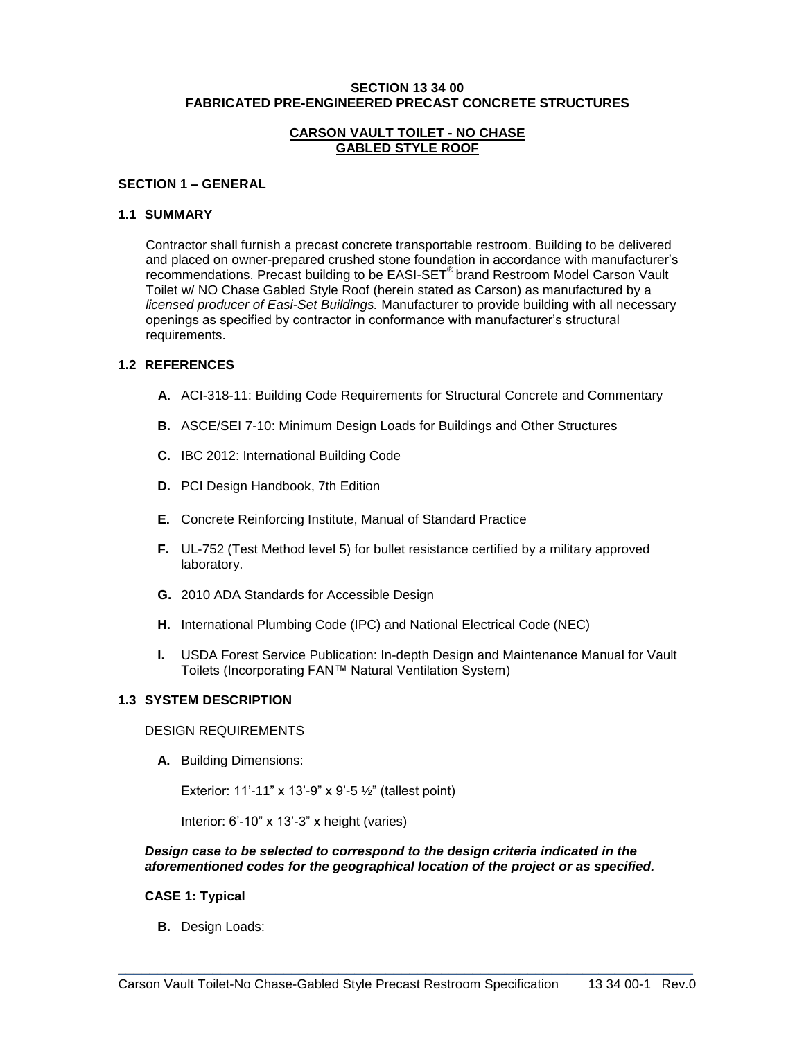### **SECTION 13 34 00 FABRICATED PRE-ENGINEERED PRECAST CONCRETE STRUCTURES**

### **CARSON VAULT TOILET - NO CHASE GABLED STYLE ROOF**

### **SECTION 1 – GENERAL**

#### **1.1 SUMMARY**

Contractor shall furnish a precast concrete transportable restroom. Building to be delivered and placed on owner-prepared crushed stone foundation in accordance with manufacturer's recommendations. Precast building to be EASI-SET® brand Restroom Model Carson Vault Toilet w/ NO Chase Gabled Style Roof (herein stated as Carson) as manufactured by a *licensed producer of Easi-Set Buildings.* Manufacturer to provide building with all necessary openings as specified by contractor in conformance with manufacturer's structural requirements.

### **1.2 REFERENCES**

- **A.** ACI-318-11: Building Code Requirements for Structural Concrete and Commentary
- **B.** ASCE/SEI 7-10: Minimum Design Loads for Buildings and Other Structures
- **C.** IBC 2012: International Building Code
- **D.** PCI Design Handbook, 7th Edition
- **E.** Concrete Reinforcing Institute, Manual of Standard Practice
- **F.** UL-752 (Test Method level 5) for bullet resistance certified by a military approved laboratory.
- **G.** 2010 ADA Standards for Accessible Design
- **H.** International Plumbing Code (IPC) and National Electrical Code (NEC)
- **I.** USDA Forest Service Publication: In-depth Design and Maintenance Manual for Vault Toilets (Incorporating FAN™ Natural Ventilation System)

## **1.3 SYSTEM DESCRIPTION**

#### DESIGN REQUIREMENTS

**A.** Building Dimensions:

Exterior: 11'-11" x 13'-9" x 9'-5 ½" (tallest point)

Interior: 6'-10" x 13'-3" x height (varies)

### *Design case to be selected to correspond to the design criteria indicated in the aforementioned codes for the geographical location of the project or as specified.*

### **CASE 1: Typical**

**B.** Design Loads: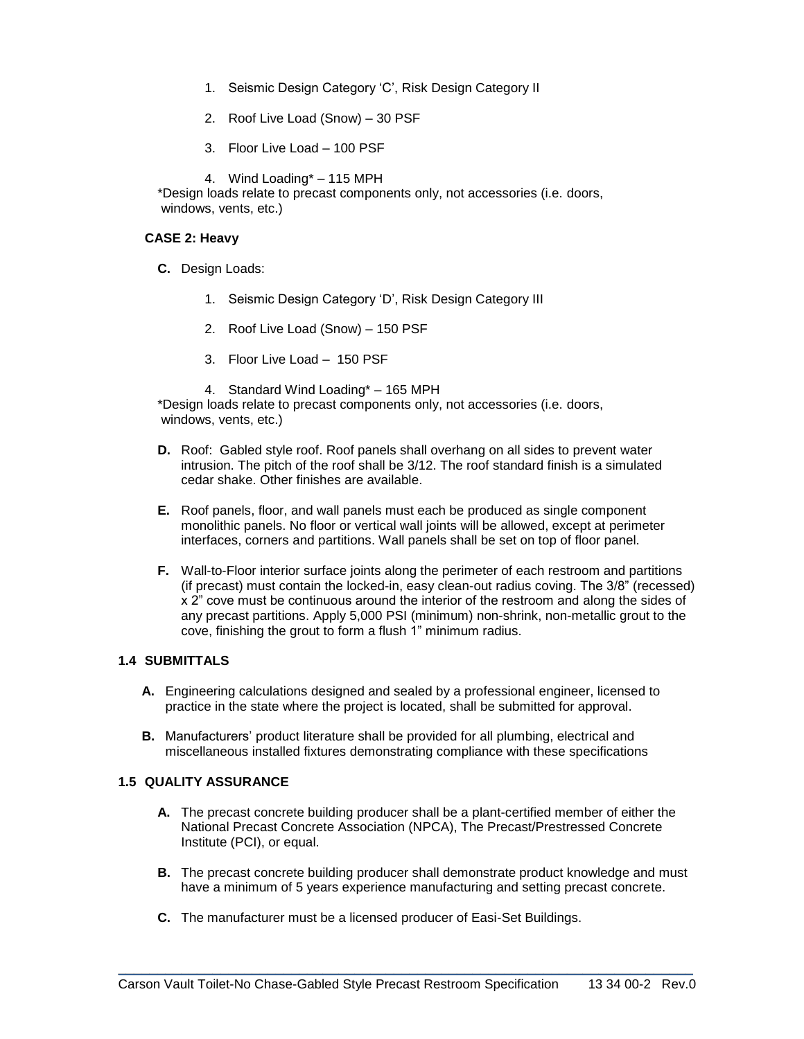- 1. Seismic Design Category 'C', Risk Design Category II
- 2. Roof Live Load (Snow) 30 PSF
- 3. Floor Live Load 100 PSF

4. Wind Loading\* – 115 MPH

\*Design loads relate to precast components only, not accessories (i.e. doors, windows, vents, etc.)

### **CASE 2: Heavy**

- **C.** Design Loads:
	- 1. Seismic Design Category 'D', Risk Design Category III
	- 2. Roof Live Load (Snow) 150 PSF
	- 3. Floor Live Load 150 PSF
	- 4. Standard Wind Loading\* 165 MPH

\*Design loads relate to precast components only, not accessories (i.e. doors, windows, vents, etc.)

- **D.** Roof: Gabled style roof. Roof panels shall overhang on all sides to prevent water intrusion. The pitch of the roof shall be 3/12. The roof standard finish is a simulated cedar shake. Other finishes are available.
- **E.** Roof panels, floor, and wall panels must each be produced as single component monolithic panels. No floor or vertical wall joints will be allowed, except at perimeter interfaces, corners and partitions. Wall panels shall be set on top of floor panel.
- **F.** Wall-to-Floor interior surface joints along the perimeter of each restroom and partitions (if precast) must contain the locked-in, easy clean-out radius coving. The 3/8" (recessed) x 2" cove must be continuous around the interior of the restroom and along the sides of any precast partitions. Apply 5,000 PSI (minimum) non-shrink, non-metallic grout to the cove, finishing the grout to form a flush 1" minimum radius.

# **1.4 SUBMITTALS**

- **A.** Engineering calculations designed and sealed by a professional engineer, licensed to practice in the state where the project is located, shall be submitted for approval.
- **B.** Manufacturers' product literature shall be provided for all plumbing, electrical and miscellaneous installed fixtures demonstrating compliance with these specifications

# **1.5 QUALITY ASSURANCE**

- **A.** The precast concrete building producer shall be a plant-certified member of either the National Precast Concrete Association (NPCA), The Precast/Prestressed Concrete Institute (PCI), or equal.
- **B.** The precast concrete building producer shall demonstrate product knowledge and must have a minimum of 5 years experience manufacturing and setting precast concrete.
- **C.** The manufacturer must be a licensed producer of Easi-Set Buildings.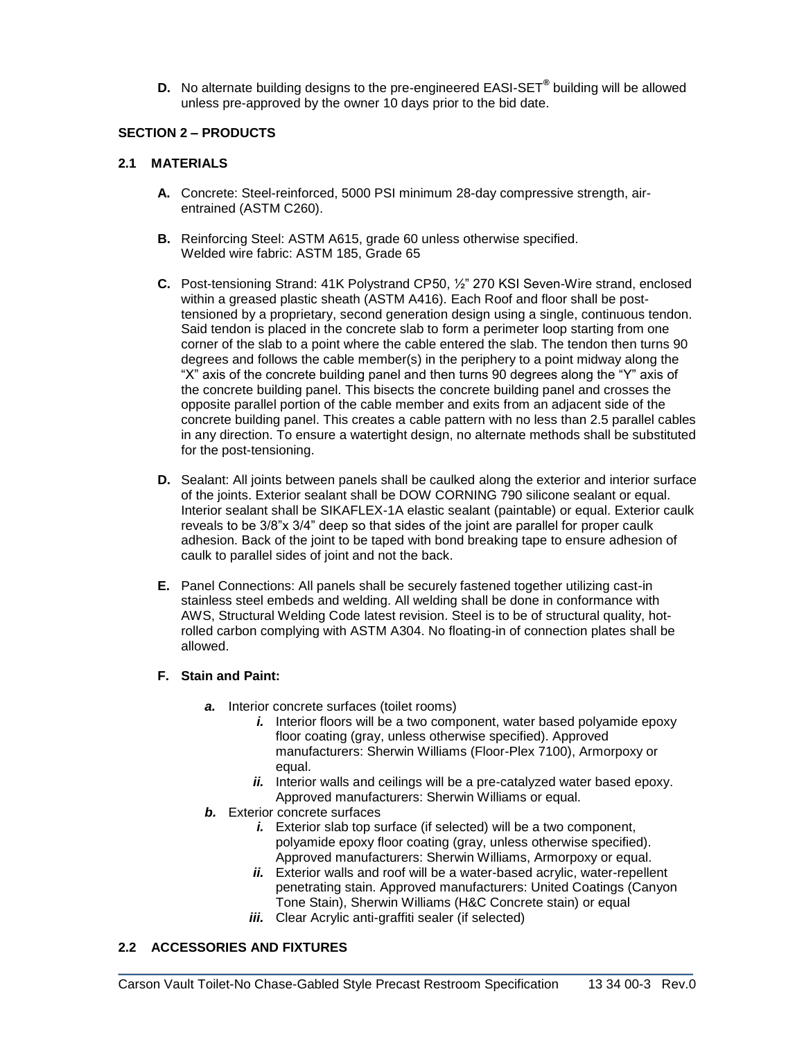**D.** No alternate building designs to the pre-engineered EASI-SET**®** building will be allowed unless pre-approved by the owner 10 days prior to the bid date.

## **SECTION 2 – PRODUCTS**

## **2.1 MATERIALS**

- **A.** Concrete: Steel-reinforced, 5000 PSI minimum 28-day compressive strength, airentrained (ASTM C260).
- **B.** Reinforcing Steel: ASTM A615, grade 60 unless otherwise specified. Welded wire fabric: ASTM 185, Grade 65
- **C.** Post-tensioning Strand: 41K Polystrand CP50, ½" 270 KSI Seven-Wire strand, enclosed within a greased plastic sheath (ASTM A416). Each Roof and floor shall be posttensioned by a proprietary, second generation design using a single, continuous tendon. Said tendon is placed in the concrete slab to form a perimeter loop starting from one corner of the slab to a point where the cable entered the slab. The tendon then turns 90 degrees and follows the cable member(s) in the periphery to a point midway along the "X" axis of the concrete building panel and then turns 90 degrees along the "Y" axis of the concrete building panel. This bisects the concrete building panel and crosses the opposite parallel portion of the cable member and exits from an adjacent side of the concrete building panel. This creates a cable pattern with no less than 2.5 parallel cables in any direction. To ensure a watertight design, no alternate methods shall be substituted for the post-tensioning.
- **D.** Sealant: All joints between panels shall be caulked along the exterior and interior surface of the joints. Exterior sealant shall be DOW CORNING 790 silicone sealant or equal. Interior sealant shall be SIKAFLEX-1A elastic sealant (paintable) or equal. Exterior caulk reveals to be 3/8"x 3/4" deep so that sides of the joint are parallel for proper caulk adhesion. Back of the joint to be taped with bond breaking tape to ensure adhesion of caulk to parallel sides of joint and not the back.
- **E.** Panel Connections: All panels shall be securely fastened together utilizing cast-in stainless steel embeds and welding. All welding shall be done in conformance with AWS, Structural Welding Code latest revision. Steel is to be of structural quality, hotrolled carbon complying with ASTM A304. No floating-in of connection plates shall be allowed.

### **F. Stain and Paint:**

- *a.* Interior concrete surfaces (toilet rooms)
	- *i.* Interior floors will be a two component, water based polyamide epoxy floor coating (gray, unless otherwise specified). Approved manufacturers: Sherwin Williams (Floor-Plex 7100), Armorpoxy or equal.
	- *ii.* Interior walls and ceilings will be a pre-catalyzed water based epoxy. Approved manufacturers: Sherwin Williams or equal.
- *b.* Exterior concrete surfaces
	- *i.* Exterior slab top surface (if selected) will be a two component, polyamide epoxy floor coating (gray, unless otherwise specified). Approved manufacturers: Sherwin Williams, Armorpoxy or equal.
	- *ii.* Exterior walls and roof will be a water-based acrylic, water-repellent penetrating stain. Approved manufacturers: United Coatings (Canyon Tone Stain), Sherwin Williams (H&C Concrete stain) or equal
	- *iii.* Clear Acrylic anti-graffiti sealer (if selected)

# **2.2 ACCESSORIES AND FIXTURES**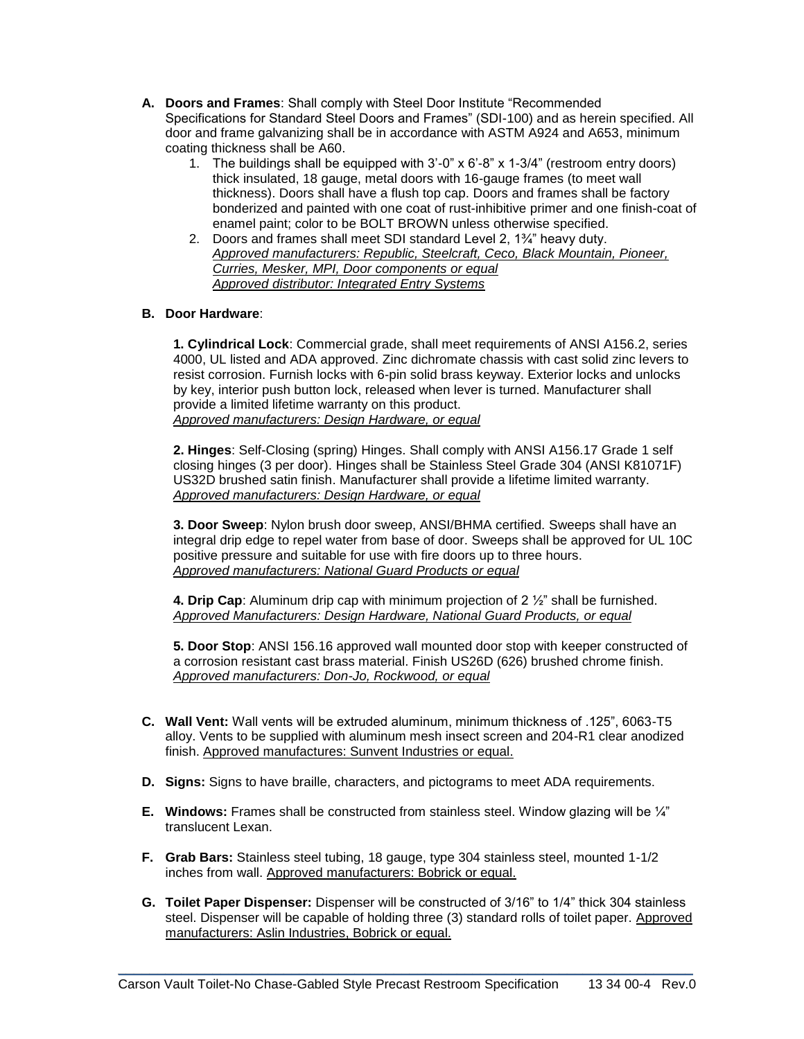- **A. Doors and Frames**: Shall comply with Steel Door Institute "Recommended Specifications for Standard Steel Doors and Frames" (SDI-100) and as herein specified. All door and frame galvanizing shall be in accordance with ASTM A924 and A653, minimum coating thickness shall be A60.
	- 1. The buildings shall be equipped with  $3'-0'' \times 6'-8'' \times 1-3/4''$  (restroom entry doors) thick insulated, 18 gauge, metal doors with 16-gauge frames (to meet wall thickness). Doors shall have a flush top cap. Doors and frames shall be factory bonderized and painted with one coat of rust-inhibitive primer and one finish-coat of enamel paint; color to be BOLT BROWN unless otherwise specified.
	- 2. Doors and frames shall meet SDI standard Level 2, 1¾" heavy duty. *Approved manufacturers: Republic, Steelcraft, Ceco, Black Mountain, Pioneer, Curries, Mesker, MPI, Door components or equal Approved distributor: Integrated Entry Systems*

## **B. Door Hardware**:

**1. Cylindrical Lock**: Commercial grade, shall meet requirements of ANSI A156.2, series 4000, UL listed and ADA approved. Zinc dichromate chassis with cast solid zinc levers to resist corrosion. Furnish locks with 6-pin solid brass keyway. Exterior locks and unlocks by key, interior push button lock, released when lever is turned. Manufacturer shall provide a limited lifetime warranty on this product. *Approved manufacturers: Design Hardware, or equal*

**2. Hinges**: Self-Closing (spring) Hinges. Shall comply with ANSI A156.17 Grade 1 self closing hinges (3 per door). Hinges shall be Stainless Steel Grade 304 (ANSI K81071F) US32D brushed satin finish. Manufacturer shall provide a lifetime limited warranty. *Approved manufacturers: Design Hardware, or equal*

**3. Door Sweep**: Nylon brush door sweep, ANSI/BHMA certified. Sweeps shall have an integral drip edge to repel water from base of door. Sweeps shall be approved for UL 10C positive pressure and suitable for use with fire doors up to three hours. *Approved manufacturers: National Guard Products or equal*

**4. Drip Cap**: Aluminum drip cap with minimum projection of 2 ½" shall be furnished. *Approved Manufacturers: Design Hardware, National Guard Products, or equal*

**5. Door Stop**: ANSI 156.16 approved wall mounted door stop with keeper constructed of a corrosion resistant cast brass material. Finish US26D (626) brushed chrome finish. *Approved manufacturers: Don-Jo, Rockwood, or equal*

- **C. Wall Vent:** Wall vents will be extruded aluminum, minimum thickness of .125", 6063-T5 alloy. Vents to be supplied with aluminum mesh insect screen and 204-R1 clear anodized finish. Approved manufactures: Sunvent Industries or equal.
- **D. Signs:** Signs to have braille, characters, and pictograms to meet ADA requirements.
- **E. Windows:** Frames shall be constructed from stainless steel. Window glazing will be ¼" translucent Lexan.
- **F. Grab Bars:** Stainless steel tubing, 18 gauge, type 304 stainless steel, mounted 1-1/2 inches from wall. Approved manufacturers: Bobrick or equal.
- **G. Toilet Paper Dispenser:** Dispenser will be constructed of 3/16" to 1/4" thick 304 stainless steel. Dispenser will be capable of holding three (3) standard rolls of toilet paper. Approved manufacturers: Aslin Industries, Bobrick or equal.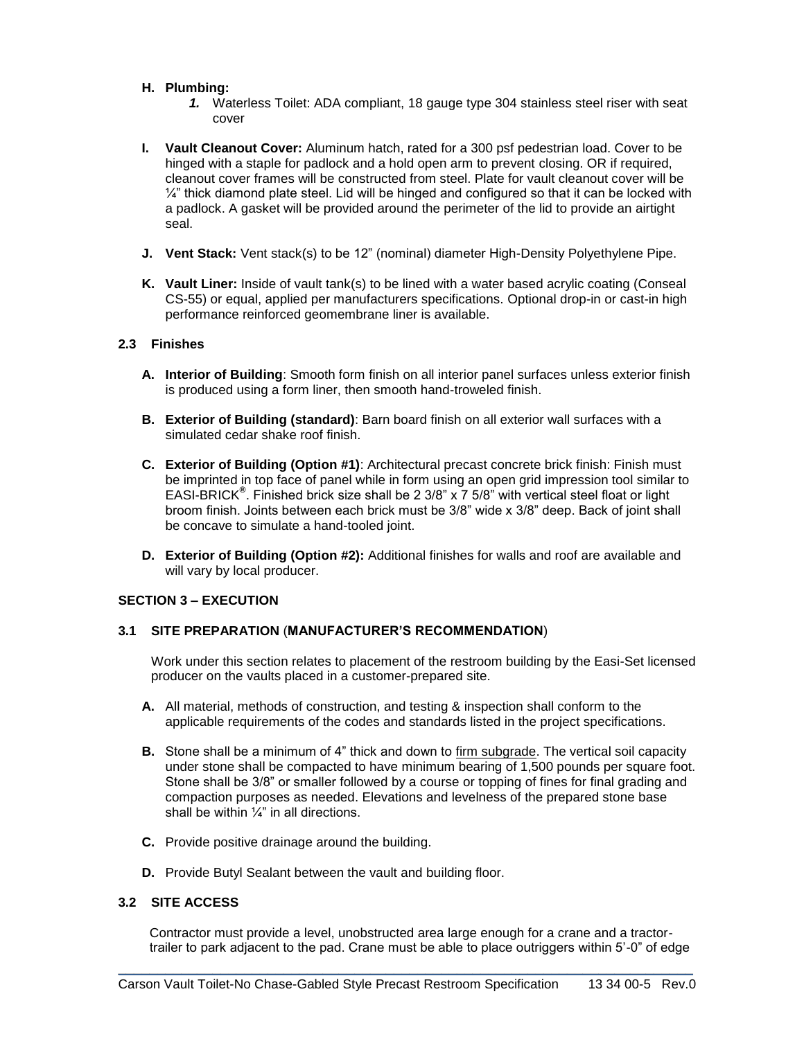## **H. Plumbing:**

- *1.* Waterless Toilet: ADA compliant, 18 gauge type 304 stainless steel riser with seat cover
- **I. Vault Cleanout Cover:** Aluminum hatch, rated for a 300 psf pedestrian load. Cover to be hinged with a staple for padlock and a hold open arm to prevent closing. OR if required, cleanout cover frames will be constructed from steel. Plate for vault cleanout cover will be  $\frac{1}{4}$ " thick diamond plate steel. Lid will be hinged and configured so that it can be locked with a padlock. A gasket will be provided around the perimeter of the lid to provide an airtight seal.
- **J. Vent Stack:** Vent stack(s) to be 12" (nominal) diameter High-Density Polyethylene Pipe.
- **K. Vault Liner:** Inside of vault tank(s) to be lined with a water based acrylic coating (Conseal CS-55) or equal, applied per manufacturers specifications. Optional drop-in or cast-in high performance reinforced geomembrane liner is available.

## **2.3 Finishes**

- **A. Interior of Building**: Smooth form finish on all interior panel surfaces unless exterior finish is produced using a form liner, then smooth hand-troweled finish.
- **B. Exterior of Building (standard)**: Barn board finish on all exterior wall surfaces with a simulated cedar shake roof finish.
- **C. Exterior of Building (Option #1)**: Architectural precast concrete brick finish: Finish must be imprinted in top face of panel while in form using an open grid impression tool similar to EASI-BRICK**®** . Finished brick size shall be 2 3/8" x 7 5/8" with vertical steel float or light broom finish. Joints between each brick must be 3/8" wide x 3/8" deep. Back of joint shall be concave to simulate a hand-tooled joint.
- **D. Exterior of Building (Option #2):** Additional finishes for walls and roof are available and will vary by local producer.

# **SECTION 3 – EXECUTION**

# **3.1 SITE PREPARATION** (**MANUFACTURER'S RECOMMENDATION**)

Work under this section relates to placement of the restroom building by the Easi-Set licensed producer on the vaults placed in a customer-prepared site.

- **A.** All material, methods of construction, and testing & inspection shall conform to the applicable requirements of the codes and standards listed in the project specifications.
- **B.** Stone shall be a minimum of 4" thick and down to firm subgrade. The vertical soil capacity under stone shall be compacted to have minimum bearing of 1,500 pounds per square foot. Stone shall be 3/8" or smaller followed by a course or topping of fines for final grading and compaction purposes as needed. Elevations and levelness of the prepared stone base shall be within  $\frac{1}{4}$ " in all directions.
- **C.** Provide positive drainage around the building.
- **D.** Provide Butyl Sealant between the vault and building floor.

# **3.2 SITE ACCESS**

Contractor must provide a level, unobstructed area large enough for a crane and a tractortrailer to park adjacent to the pad. Crane must be able to place outriggers within 5'-0" of edge